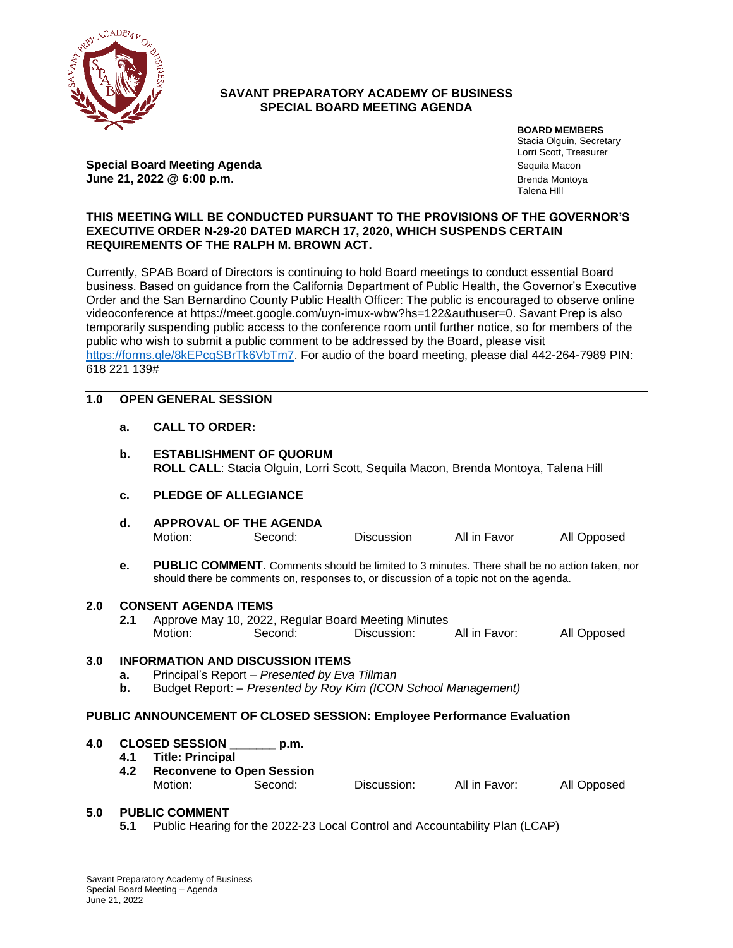

### **SAVANT PREPARATORY ACADEMY OF BUSINESS SPECIAL BOARD MEETING AGENDA**

**Special Board Meeting Agenda** Sequila Macon Sequila Macon **June 21, 2022 @ 6:00 p.m. Brenda Montoya** Brenda Montoya

**BOARD MEMBERS** Stacia Olguin, Secretary Lorri Scott, Treasurer Talena HIll

### **THIS MEETING WILL BE CONDUCTED PURSUANT TO THE PROVISIONS OF THE GOVERNOR'S EXECUTIVE ORDER N-29-20 DATED MARCH 17, 2020, WHICH SUSPENDS CERTAIN REQUIREMENTS OF THE RALPH M. BROWN ACT.**

Currently, SPAB Board of Directors is continuing to hold Board meetings to conduct essential Board business. Based on guidance from the California Department of Public Health, the Governor's Executive Order and the San Bernardino County Public Health Officer: The public is encouraged to observe online videoconference at https://meet.google.com/uyn-imux-wbw?hs=122&authuser=0. Savant Prep is also temporarily suspending public access to the conference room until further notice, so for members of the public who wish to submit a public comment to be addressed by the Board, please visit [https://forms.gle/8kEPcgSBrTk6VbTm7.](https://forms.gle/8kEPcgSBrTk6VbTm7) For audio of the board meeting, please dial 442-264-7989 PIN: 618 221 139#

## **1.0 OPEN GENERAL SESSION**

**a. CALL TO ORDER:** 

|                                                                        | b.         | <b>ESTABLISHMENT OF QUORUM</b><br>ROLL CALL: Stacia Olguin, Lorri Scott, Sequila Macon, Brenda Montoya, Talena Hill                                                                    |                                                                |             |               |             |  |  |  |  |  |
|------------------------------------------------------------------------|------------|----------------------------------------------------------------------------------------------------------------------------------------------------------------------------------------|----------------------------------------------------------------|-------------|---------------|-------------|--|--|--|--|--|
|                                                                        | c.         | <b>PLEDGE OF ALLEGIANCE</b>                                                                                                                                                            |                                                                |             |               |             |  |  |  |  |  |
|                                                                        | d.         | <b>APPROVAL OF THE AGENDA</b><br>Motion:                                                                                                                                               | Second:                                                        | Discussion  | All in Favor  | All Opposed |  |  |  |  |  |
|                                                                        | е.         | PUBLIC COMMENT. Comments should be limited to 3 minutes. There shall be no action taken, nor<br>should there be comments on, responses to, or discussion of a topic not on the agenda. |                                                                |             |               |             |  |  |  |  |  |
| 2.0                                                                    |            | <b>CONSENT AGENDA ITEMS</b>                                                                                                                                                            |                                                                |             |               |             |  |  |  |  |  |
|                                                                        | 2.1        | Motion:                                                                                                                                                                                | Approve May 10, 2022, Regular Board Meeting Minutes<br>Second: | Discussion: | All in Favor: | All Opposed |  |  |  |  |  |
| 3.0                                                                    | а.<br>b.   | <b>INFORMATION AND DISCUSSION ITEMS</b><br>Principal's Report - Presented by Eva Tillman<br>Budget Report: - Presented by Roy Kim (ICON School Management)                             |                                                                |             |               |             |  |  |  |  |  |
| PUBLIC ANNOUNCEMENT OF CLOSED SESSION: Employee Performance Evaluation |            |                                                                                                                                                                                        |                                                                |             |               |             |  |  |  |  |  |
| 4.0                                                                    | 4.1<br>4.2 | <b>CLOSED SESSION</b><br><b>Title: Principal</b><br><b>Reconvene to Open Session</b><br>Motion:                                                                                        | p.m.<br>Second:                                                | Discussion: | All in Favor: | All Opposed |  |  |  |  |  |
|                                                                        |            |                                                                                                                                                                                        |                                                                |             |               |             |  |  |  |  |  |

### **5.0 PUBLIC COMMENT**

**5.1** Public Hearing for the 2022-23 Local Control and Accountability Plan (LCAP)